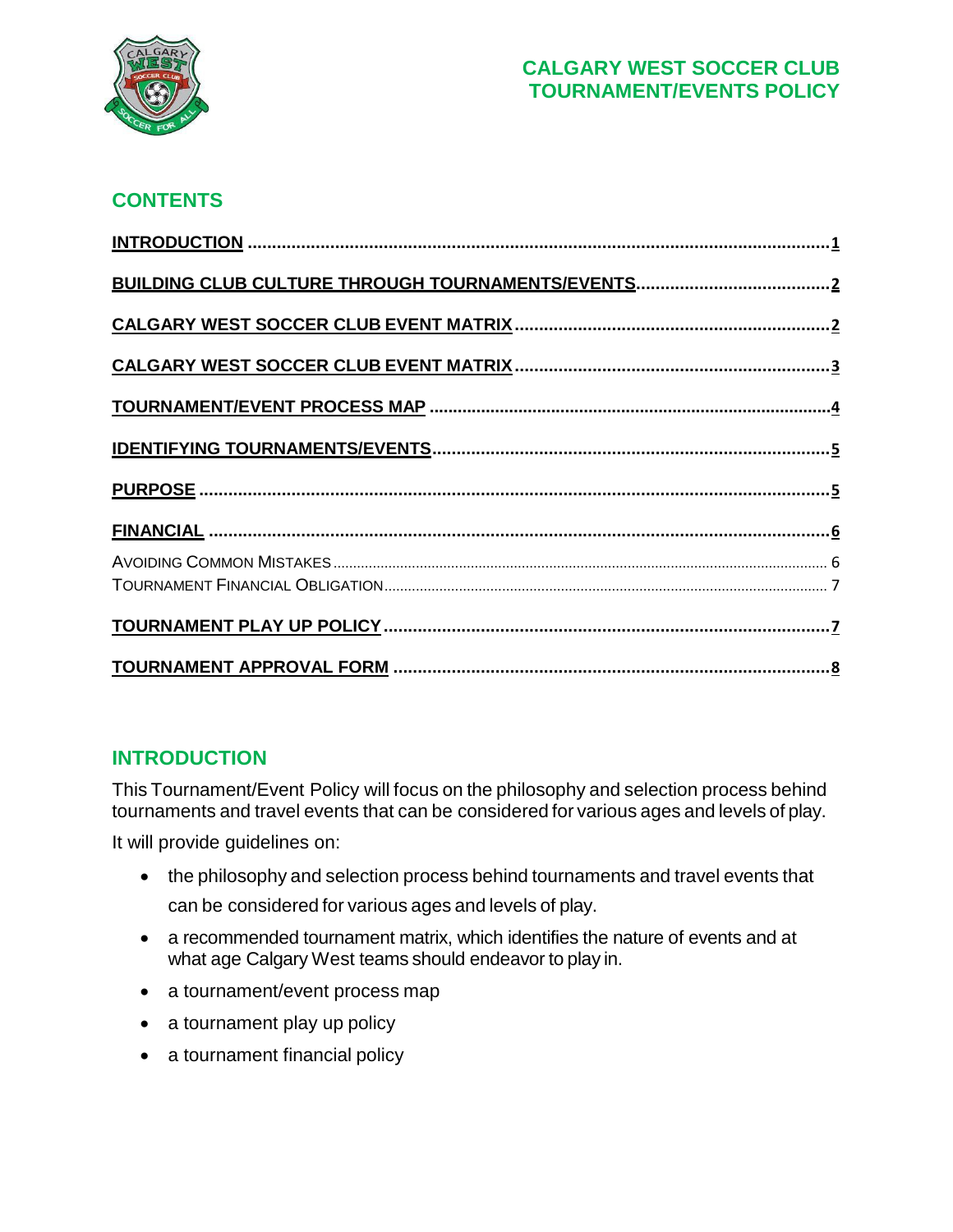

# **CONTENTS**

# <span id="page-0-0"></span>**INTRODUCTION**

This Tournament/Event Policy will focus on the philosophy and selection process behind tournaments and travel events that can be considered for various ages and levels of play.

It will provide guidelines on:

- the philosophy and selection process behind tournaments and travel events that can be considered for various ages and levels of play.
- a recommended tournament matrix, which identifies the nature of events and at what age Calgary West teams should endeavor to play in.
- a tournament/event process map
- a tournament play up policy
- a tournament financial policy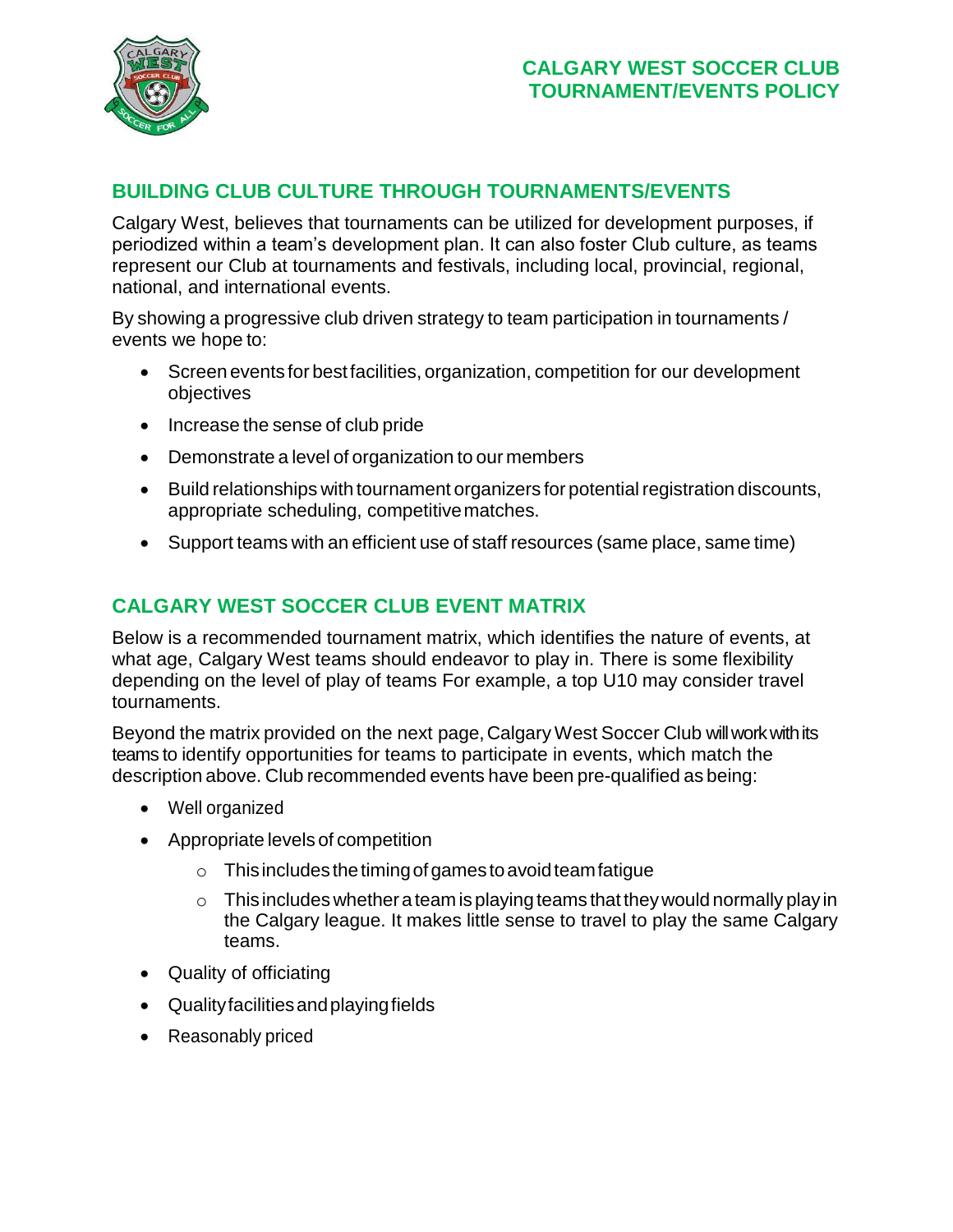

# <span id="page-1-0"></span>**BUILDING CLUB CULTURE THROUGH TOURNAMENTS/EVENTS**

Calgary West, believes that tournaments can be utilized for development purposes, if periodized within a team's development plan. It can also foster Club culture, as teams represent our Club at tournaments and festivals, including local, provincial, regional, national, and international events.

By showing a progressive club driven strategy to team participation in tournaments / events we hope to:

- Screen events for bestfacilities, organization, competition for our development objectives
- Increase the sense of club pride
- Demonstrate a level of organization to our members
- Build relationships with tournament organizers for potential registration discounts, appropriate scheduling, competitivematches.
- Support teams with an efficient use of staff resources (same place, same time)

# <span id="page-1-1"></span>**CALGARY WEST SOCCER CLUB EVENT MATRIX**

Below is a recommended tournament matrix, which identifies the nature of events, at what age, Calgary West teams should endeavor to play in. There is some flexibility depending on the level of play of teams For example, a top U10 may consider travel tournaments.

Beyond the matrix provided on the next page,Calgary West Soccer Club willworkwithits teams to identify opportunities for teams to participate in events, which match the description above. Club recommended events have been pre-qualified as being:

- Well organized
- Appropriate levels of competition
	- $\circ$  This includes the timing of games to avoid team fatigue
	- $\circ$  This includes whether a team is playing teams that they would normally play in the Calgary league. It makes little sense to travel to play the same Calgary teams.
- Quality of officiating
- Qualityfacilitiesandplayingfields
- Reasonably priced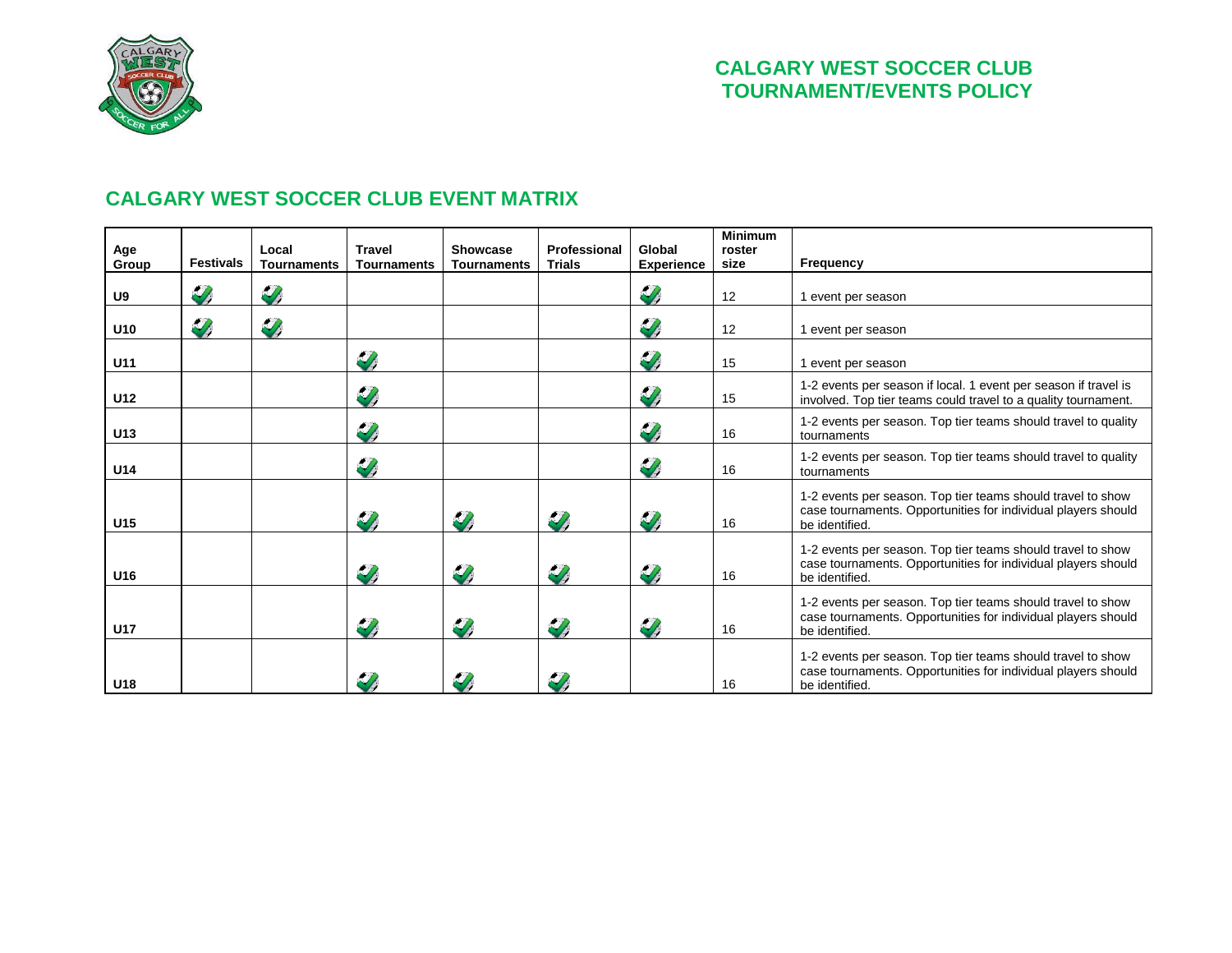

### **CALGARY WEST SOCCER CLUB EVENT MATRIX**

<span id="page-2-0"></span>

| Age<br>Group | <b>Festivals</b> | Local<br><b>Tournaments</b> | <b>Travel</b><br><b>Tournaments</b> | Showcase<br>Tournaments | Professional<br><b>Trials</b> | Global<br><b>Experience</b> | <b>Minimum</b><br>roster<br>size | <b>Frequency</b>                                                                                                                               |  |
|--------------|------------------|-----------------------------|-------------------------------------|-------------------------|-------------------------------|-----------------------------|----------------------------------|------------------------------------------------------------------------------------------------------------------------------------------------|--|
| U9           | $\mathscr{D}$    | $\mathscr{L}$               |                                     |                         |                               | $\mathscr{D}$               | 12                               | 1 event per season                                                                                                                             |  |
| U10          | $\mathscr{U}$    | $\mathscr{U}_t$             |                                     |                         |                               | $\mathscr{L}$               | 12                               | 1 event per season                                                                                                                             |  |
| U11          |                  |                             | $\mathscr{L}$                       |                         |                               | $\mathscr{L}$               | 15                               | 1 event per season                                                                                                                             |  |
| U12          |                  |                             | $\mathscr{D}$                       |                         |                               | $\mathscr{D}$               | 15                               | 1-2 events per season if local. 1 event per season if travel is<br>involved. Top tier teams could travel to a quality tournament.              |  |
| U13          |                  |                             | $\mathscr{L}$                       |                         |                               | $\mathscr{D}$               | 16                               | 1-2 events per season. Top tier teams should travel to quality<br>tournaments                                                                  |  |
| U14          |                  |                             | $\mathscr{Y}$                       |                         |                               | $\mathscr{L}$               | 16                               | 1-2 events per season. Top tier teams should travel to quality<br>tournaments                                                                  |  |
| U15          |                  |                             | IJ,                                 | $\mathscr{L}$           | $\mathscr{Y}$                 | $\mathscr{D}$               | 16                               | 1-2 events per season. Top tier teams should travel to show<br>case tournaments. Opportunities for individual players should<br>be identified. |  |
| U16          |                  |                             | $\mathscr{L}$                       | $\mathscr{L}$           | $\mathscr{L}$                 | $\mathscr{L}$               | 16                               | 1-2 events per season. Top tier teams should travel to show<br>case tournaments. Opportunities for individual players should<br>be identified. |  |
| <b>U17</b>   |                  |                             | IJ,                                 | $\mathscr{Y}$           | $\mathscr{L}$                 | $\mathscr{L}$               | 16                               | 1-2 events per season. Top tier teams should travel to show<br>case tournaments. Opportunities for individual players should<br>be identified. |  |
| U18          |                  |                             |                                     |                         | Z)                            |                             | 16                               | 1-2 events per season. Top tier teams should travel to show<br>case tournaments. Opportunities for individual players should<br>be identified. |  |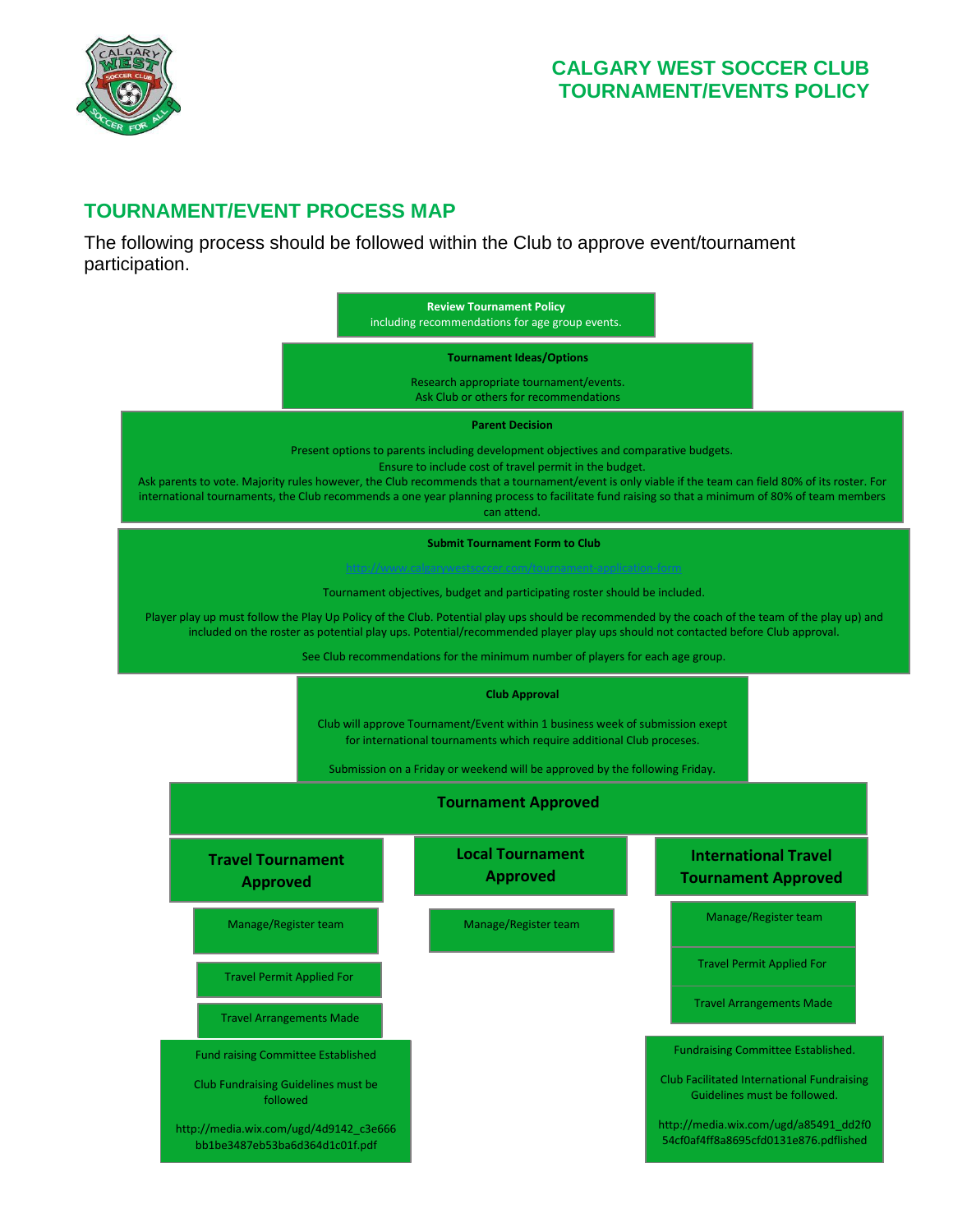

# <span id="page-3-0"></span>**TOURNAMENT/EVENT PROCESS MAP**

The following process should be followed within the Club to approve event/tournament participation.

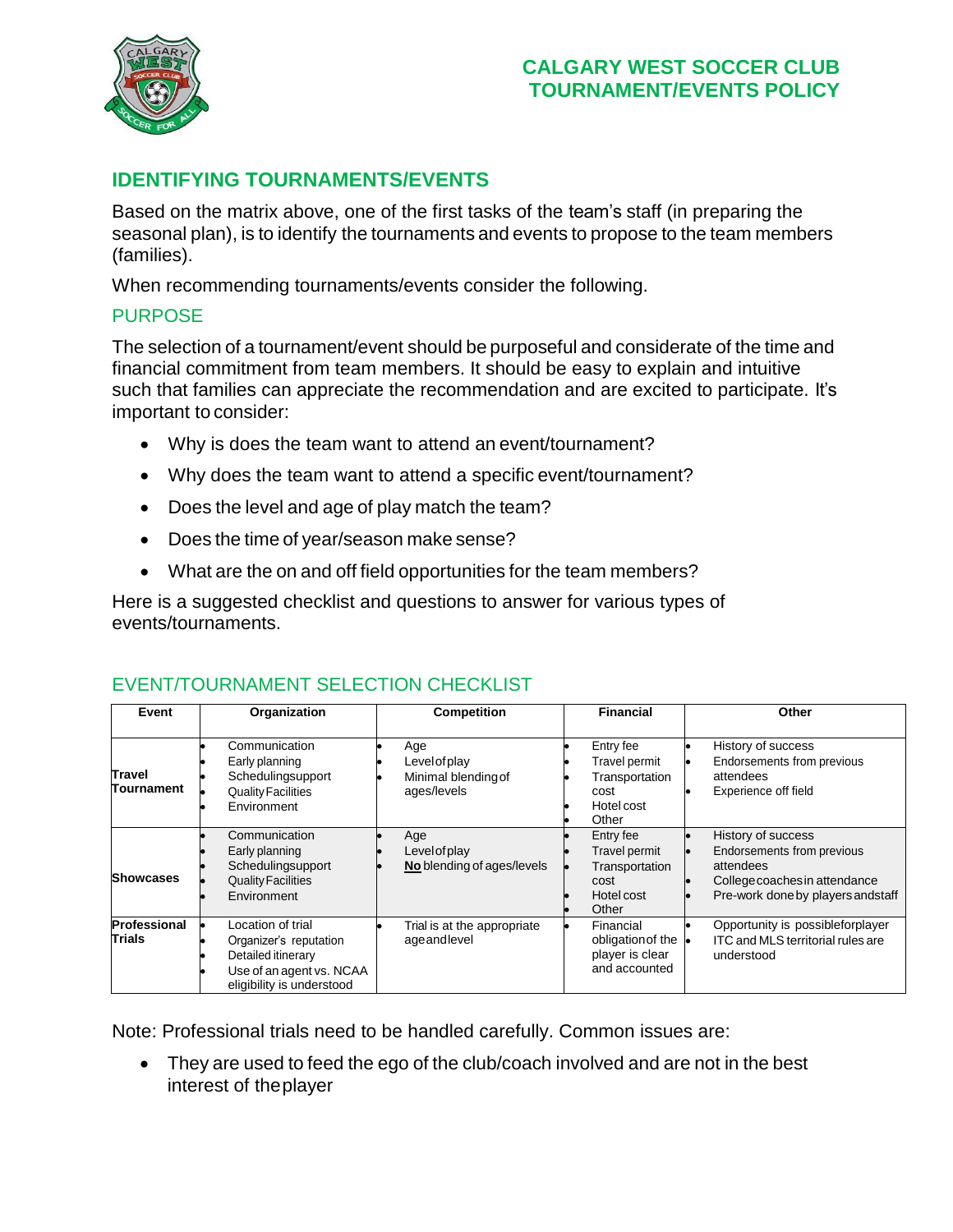

# <span id="page-4-0"></span>**IDENTIFYING TOURNAMENTS/EVENTS**

Based on the matrix above, one of the first tasks of the team's staff (in preparing the seasonal plan), is to identify the tournaments and events to propose to the team members (families).

When recommending tournaments/events consider the following.

#### PURPOSE

The selection of a tournament/event should be purposeful and considerate of the time and financial commitment from team members. It should be easy to explain and intuitive such that families can appreciate the recommendation and are excited to participate. It's important to consider:

- <span id="page-4-1"></span>• Why is does the team want to attend an event/tournament?
- Why does the team want to attend a specific event/tournament?
- Does the level and age of play match the team?
- Does the time of year/season make sense?
- What are the on and off field opportunities for the team members?

Here is a suggested checklist and questions to answer for various types of events/tournaments.

| Event                       | Organization                                                                                                               | <b>Competition</b>                                         | <b>Financial</b>                                                            | Other                                                                                                                                |  |
|-----------------------------|----------------------------------------------------------------------------------------------------------------------------|------------------------------------------------------------|-----------------------------------------------------------------------------|--------------------------------------------------------------------------------------------------------------------------------------|--|
| <b>Travel</b><br>Tournament | Communication<br>Early planning<br>Schedulingsupport<br><b>Quality Facilities</b><br>Environment                           | Age<br>Level of play<br>Minimal blending of<br>ages/levels | Entry fee<br>Travel permit<br>Transportation<br>cost<br>Hotel cost<br>Other | History of success<br>Endorsements from previous<br>attendees<br>Experience off field                                                |  |
| <b>Showcases</b>            | Communication<br>Early planning<br>Schedulingsupport<br><b>Quality Facilities</b><br>Environment                           | Age<br>Level of play<br>No blending of ages/levels         | Entry fee<br>Travel permit<br>Transportation<br>cost<br>Hotel cost<br>Other | History of success<br>Endorsements from previous<br>attendees<br>College coaches in attendance<br>Pre-work done by players and staff |  |
| Professional<br>Trials      | Location of trial<br>Organizer's reputation<br>Detailed itinerary<br>Use of an agent vs. NCAA<br>eligibility is understood | Trial is at the appropriate<br>ageandlevel                 | Financial<br>obligation of the<br>player is clear<br>and accounted          | Opportunity is possibleforplayer<br>ITC and MLS territorial rules are<br>understood                                                  |  |

#### EVENT/TOURNAMENT SELECTION CHECKLIST

Note: Professional trials need to be handled carefully. Common issues are:

• They are used to feed the ego of the club/coach involved and are not in the best interest of theplayer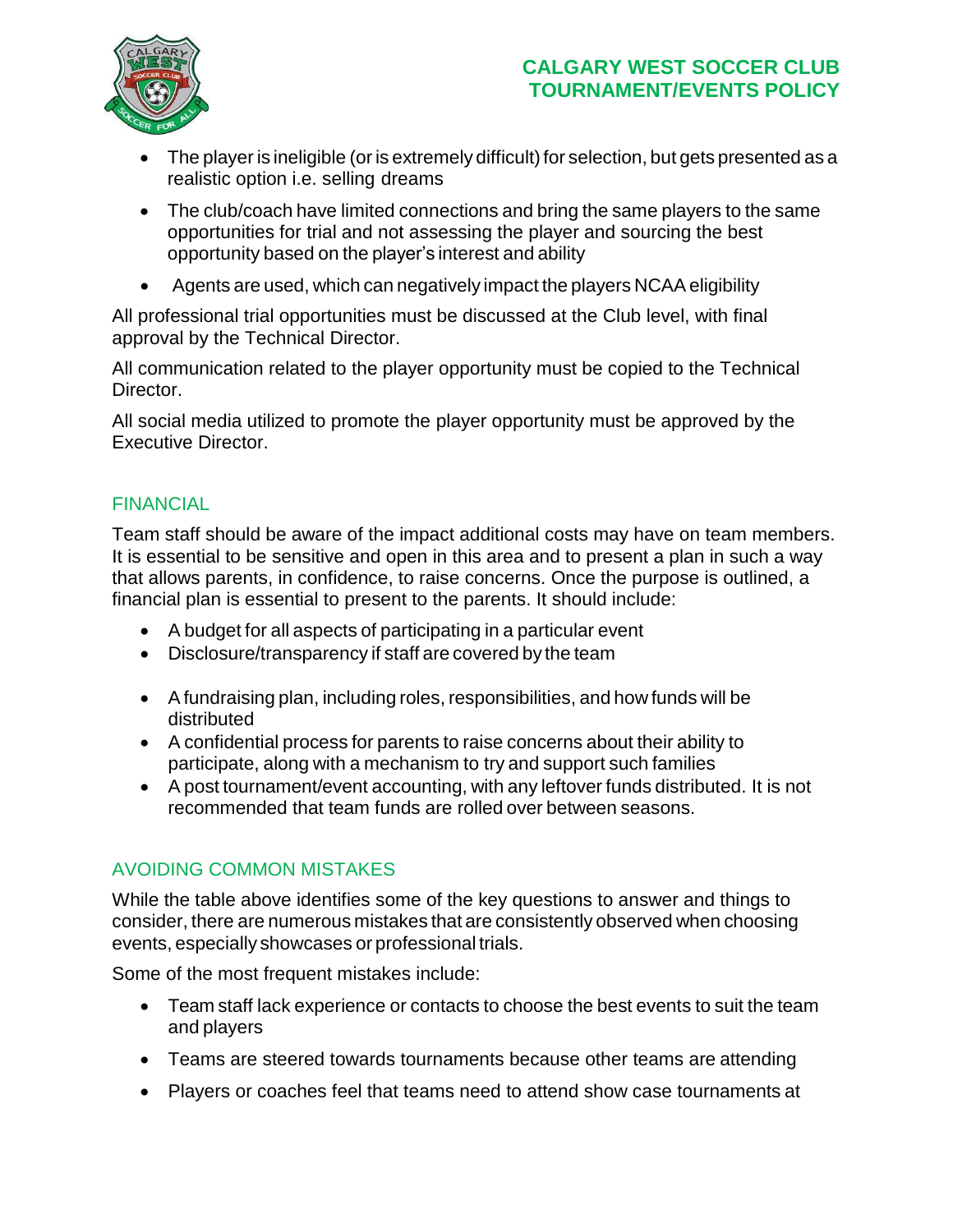

- The player is ineligible (or is extremely difficult) for selection, but gets presented as a realistic option i.e. selling dreams
- The club/coach have limited connections and bring the same players to the same opportunities for trial and not assessing the player and sourcing the best opportunity based on the player's interest and ability
- Agents are used, which can negatively impact the players NCAA eligibility

All professional trial opportunities must be discussed at the Club level, with final approval by the Technical Director.

All communication related to the player opportunity must be copied to the Technical Director.

All social media utilized to promote the player opportunity must be approved by the Executive Director.

### <span id="page-5-0"></span>FINANCIAL

Team staff should be aware of the impact additional costs may have on team members. It is essential to be sensitive and open in this area and to present a plan in such a way that allows parents, in confidence, to raise concerns. Once the purpose is outlined, a financial plan is essential to present to the parents. It should include:

- A budget for all aspects of participating in a particular event
- Disclosure/transparency if staff are covered by the team
- A fundraising plan, including roles, responsibilities, and how funds will be distributed
- A confidential process for parents to raise concerns about their ability to participate, along with a mechanism to try and support such families
- A post tournament/event accounting, with any leftover funds distributed. It is not recommended that team funds are rolled over between seasons.

# <span id="page-5-1"></span>AVOIDING COMMON MISTAKES

While the table above identifies some of the key questions to answer and things to consider, there are numerous mistakes that are consistently observed when choosing events, especially showcases or professional trials.

Some of the most frequent mistakes include:

- Team staff lack experience or contacts to choose the best events to suit the team and players
- Teams are steered towards tournaments because other teams are attending
- Players or coaches feel that teams need to attend show case tournaments at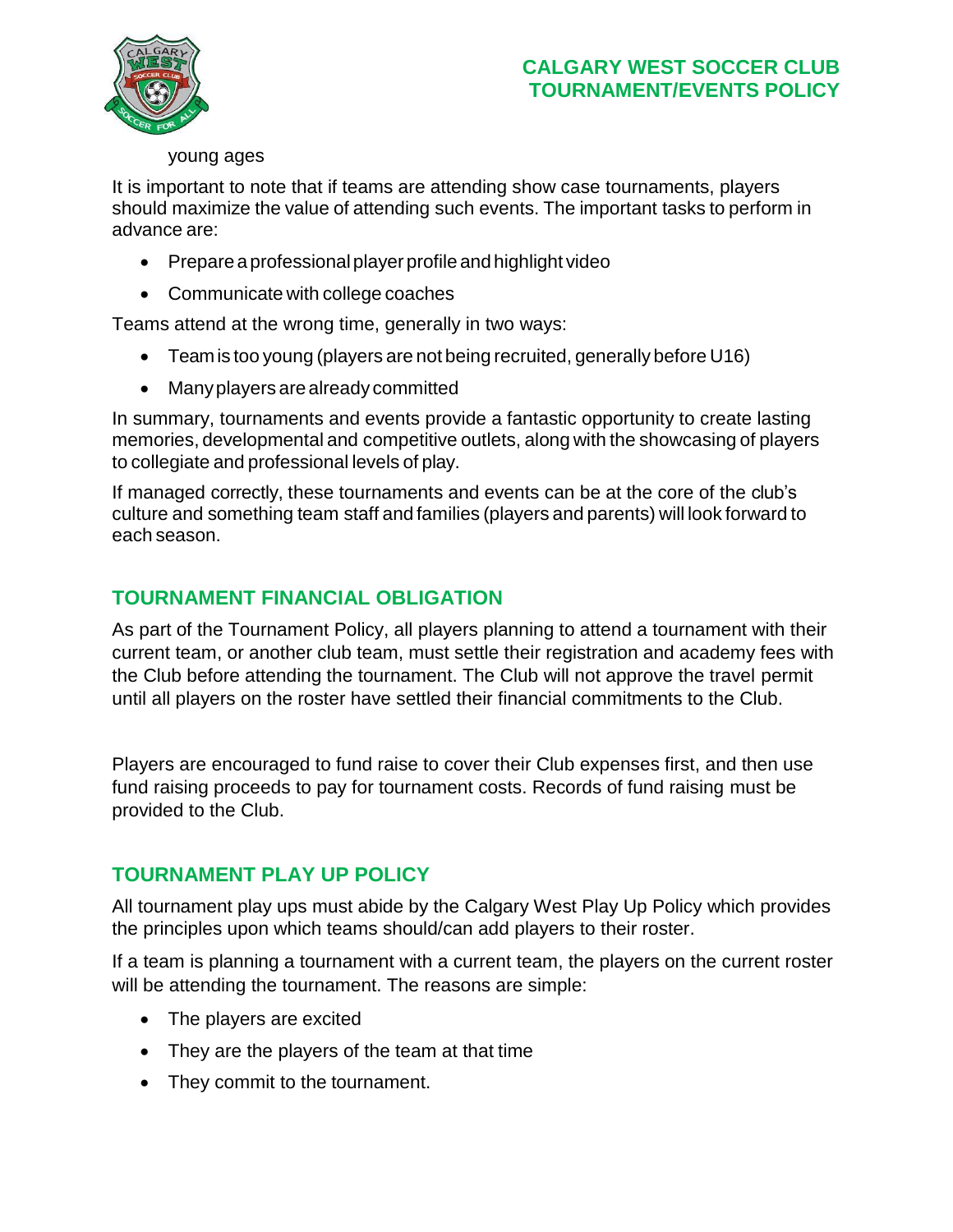

#### young ages

It is important to note that if teams are attending show case tournaments, players should maximize the value of attending such events. The important tasks to perform in advance are:

- Prepareaprofessionalplayer profile and highlight video
- Communicate with college coaches

Teams attend at the wrong time, generally in two ways:

- Teamis too young (players are not being recruited, generally before U16)
- Manyplayers are already committed

In summary, tournaments and events provide a fantastic opportunity to create lasting memories, developmental and competitive outlets, along with the showcasing of players to collegiate and professional levels of play.

If managed correctly, these tournaments and events can be at the core of the club's culture and something team staff and families (players and parents) will look forward to each season.

# <span id="page-6-0"></span>**TOURNAMENT FINANCIAL OBLIGATION**

As part of the Tournament Policy, all players planning to attend a tournament with their current team, or another club team, must settle their registration and academy fees with the Club before attending the tournament. The Club will not approve the travel permit until all players on the roster have settled their financial commitments to the Club.

Players are encouraged to fund raise to cover their Club expenses first, and then use fund raising proceeds to pay for tournament costs. Records of fund raising must be provided to the Club.

# <span id="page-6-1"></span>**TOURNAMENT PLAY UP POLICY**

All tournament play ups must abide by the Calgary West Play Up Policy which provides the principles upon which teams should/can add players to their roster.

If a team is planning a tournament with a current team, the players on the current roster will be attending the tournament. The reasons are simple:

- The players are excited
- They are the players of the team at that time
- They commit to the tournament.